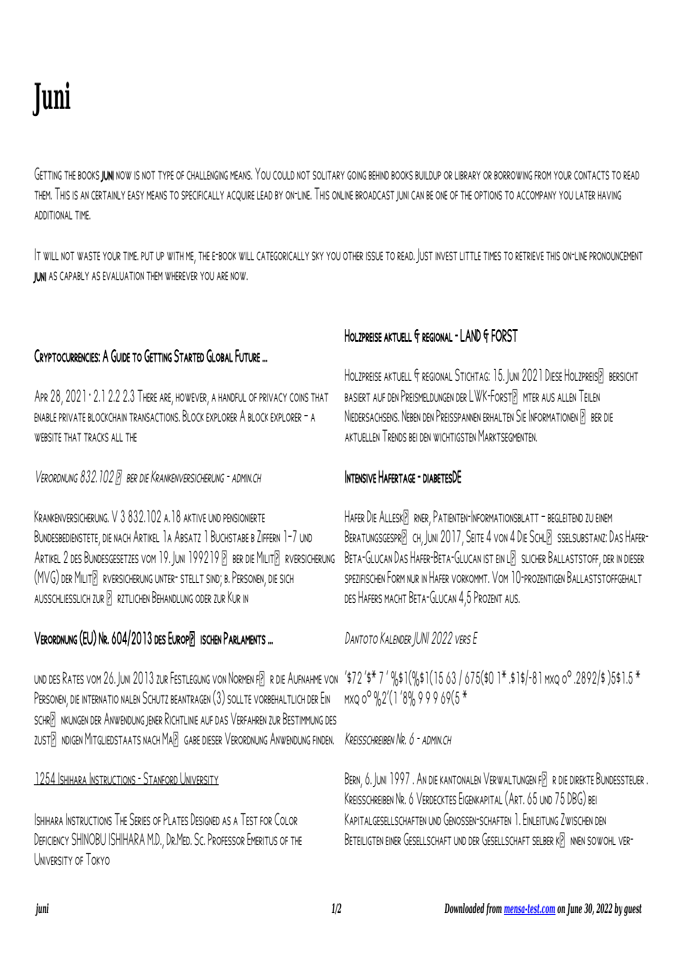# **Juni**

Getting the books juni now is not type of challenging means. You could not solitary going behind books buildup or library or borrowing from your contacts to read them. This is an certainly easy means to specifically acquire lead by on-line. This online broadcast juni can be one of the options to accompany you later having additional time.

It will not waste your time. put up with me, the e-book will categorically sky you other issue to read. Just invest little times to retrieve this on-line pronouncement **IUNI AS CAPABLY AS EVALUATION THEM WHEREVER YOU ARE NOW.** 

## Cryptocurrencies: A Guide to Getting Started Global Future …

APR 28, 2021 · 2.1 2.2 2.3 THERE ARE, HOWEVER, A HANDFUL OF PRIVACY COINS THAT enable private blockchain transactions. Block explorer A block explorer – a WERSITE THAT TRACKS ALL THE

Verordnung 832.102 ber die Krankenversicherung - admin.ch

Krankenversicherung. V 3 832.102 a.18 aktive und pensionierte Bundesbedienstete, die nach Artikel 1a Absatz 1 Buchstabe b Ziffern 1–7 und ARTIKEL 2 DES BUNDESGESETZES VOM 19. JUNI 199219 P BER DIE MILITP RVERSICHERUNG (MVG) der Milit<sup>r</sup> rversicherung unter- stellt sind; b. Personen, die sich ausschliesslich zur rztlichen Behandlung oder zur Kur in

# VERORDNUNG (EU) NR. 604/2013 DES EUROP<sup>[2]</sup> ISCHEN PARLAMENTS ...

und des Rates vom 26. Juni 2013 zur Festlegung von Normen f $\mathbb F$  r die Aufnahme von '\$72´\$\* 7´%\$1(%\$1(15 63 / 675(\$0 1\* .\$1\$/-81 mxq o<sup>o</sup> .2892/\$ )5\$1.5 \* Personen, die internatio nalen Schutz beantragen (3) sollte vorbehaltlich der Ein schrnkungen der Anwendung jener Richtlinie auf das Verfahren zur Bestimmung des zust $\overline{P}$  ndigen Mitgliedstaats nach Ma $\overline{P}$  gabe dieser Verordnung Anwendung finden.

#### 1254 Ishihara Instructions - Stanford University

Ishihara Instructions The Series of Plates Designed as a Test for Color Deficiency SHINOBU ISHIHARA M.D., Dr.Med. Sc. Professor Emeritus of the University of Tokyo

# Holzpreise aktuell & regional - LAND & FORST

HOLZPREISE AKTUELL & REGIONAL STICHTAG: 15. JUNI 2021 DIESE HOLZPREISP BERSICHT basiert auf den Preismeldungen der LWK-ForstP mter aus allen Teilen NIEDERSACHSENS. NEBEN DEN PREISSPANNEN ERHALTEN SIE INFORMATIONEN P BER DIE aktuellen Trends bei den wichtigsten Marktsegmenten.

## Intensive Hafertage - diabetesDE

HAFER DIE ALLESKP RNER, PATIENTEN-INFORMATIONSBLATT – BEGLEITEND ZU EINEM BERATUNGSGESPRP CH. JUNI 2017, SEITE 4 VON 4 DIE SCHLP SSELSUBSTANZ: DAS HAFER-BETA-GLUCAN DAS HAFER-BETA-GLUCAN IST EIN LE SLICHER BALLASTSTOFF DER IN DIESER spezifischen Form nur in Hafer vorkommt. Vom 10-prozentigen Ballaststoffgehalt des Hafers macht Beta-Glucan 4,5 Prozent aus.

Dantoto Kalender JUNI 2022 vers E

mxq oº %2'(1 '8% 9 9 9 69(5 \*

## Kreisschreiben Nr. 6 - admin.ch

BERN, 6. JUNI 1997. AN DIE KANTONALEN VERWALTUNGEN FR DIE DIREKTE BUNDESSTEUER. Kreisschreiben Nr. 6 Verdecktes Eigenkapital (Art. 65 und 75 DBG) bei Kapitalgesellschaften und Genossen-schaften 1. Einleitung Zwischen den BETEILIGTEN EINER GESELLSCHAFT UND DER GESELLSCHAFT SELBER KP NNEN SOWOHL VER-